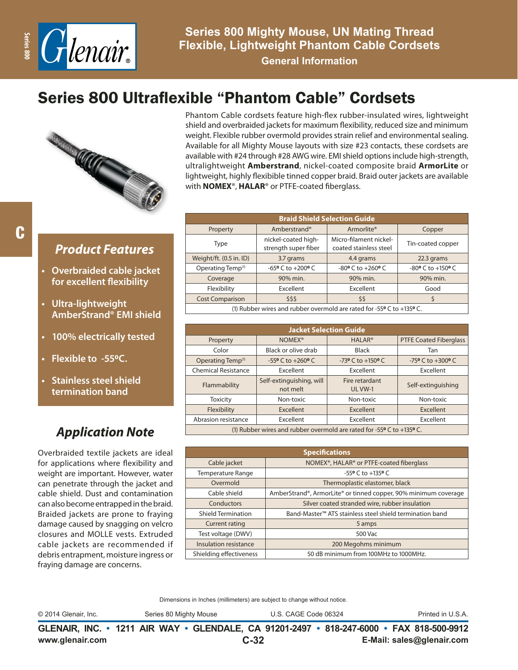

**General Information**

# Series 800 Ultraflexible "Phantom Cable" Cordsets



Phantom Cable cordsets feature high-flex rubber-insulated wires, lightweight shield and overbraided jackets for maximum flexibility, reduced size and minimum weight. Flexible rubber overmold provides strain relief and environmental sealing. Available for all Mighty Mouse layouts with size #23 contacts, these cordsets are available with #24 through #28 AWG wire. EMI shield options include high-strength, ultralightweight **Amberstrand**, nickel-coated composite braid **ArmorLite** or lightweight, highly flexibible tinned copper braid. Braid outer jackets are available with **NOMEX**®, **HALAR**® or PTFE-coated fiberglass.

| <b>Braid Shield Selection Guide</b> |                                               |                                                  |                   |  |  |  |
|-------------------------------------|-----------------------------------------------|--------------------------------------------------|-------------------|--|--|--|
| Property                            | Amberstrand®                                  | Armorlite®                                       | Copper            |  |  |  |
| Type                                | nickel-coated high-<br>strength super fiber   | Micro-filament nickel-<br>coated stainless steel | Tin-coated copper |  |  |  |
| Weight/ft. (0.5 in. ID)             | 3.7 grams                                     | 4.4 grams                                        | 22.3 grams        |  |  |  |
| Operating Temp <sup>(1)</sup>       | $-65$ <sup>o</sup> C to $+200$ <sup>o</sup> C | $-80$ <sup>o</sup> C to $+260$ <sup>o</sup> C    | -80° C to +150° C |  |  |  |
| Coverage                            | 90% min.                                      | 90% min.                                         | 90% min.          |  |  |  |
| Flexibility                         | <b>Excellent</b>                              | Excellent                                        | Good              |  |  |  |
| <b>Cost Comparison</b><br>\$\$\$    |                                               | \$\$                                             | \$                |  |  |  |
| $\cdots$ $\cdots$                   | .                                             | . .                                              |                   |  |  |  |

(1) Rubber wires and rubber overmold are rated for -55**0** C to +135**0** C.

| <b>Jacket Selection Guide</b>                                         |                                               |                                               |                                               |  |  |  |
|-----------------------------------------------------------------------|-----------------------------------------------|-----------------------------------------------|-----------------------------------------------|--|--|--|
| Property                                                              | NOMEX <sup>®</sup>                            | <b>HALAR<sup>®</sup></b>                      | <b>PTFE Coated Fiberglass</b>                 |  |  |  |
| Color                                                                 | Black or olive drab                           | Black                                         | Tan                                           |  |  |  |
| Operating Temp <sup>(1)</sup>                                         | $-55$ <sup>o</sup> C to $+260$ <sup>o</sup> C | $-73$ <sup>o</sup> C to $+150$ <sup>o</sup> C | $-75$ <sup>o</sup> C to $+300$ <sup>o</sup> C |  |  |  |
| <b>Chemical Resistance</b>                                            | Excellent                                     | Excellent                                     | Excellent                                     |  |  |  |
| Flammability                                                          | Self-extinguishing, will<br>not melt          | Fire retardant<br>UL VW-1                     | Self-extinguishing                            |  |  |  |
| <b>Toxicity</b>                                                       | Non-toxic                                     | Non-toxic                                     | Non-toxic                                     |  |  |  |
| Flexibility                                                           | Excellent                                     | Excellent                                     | Excellent                                     |  |  |  |
| Abrasion resistance                                                   | Excellent                                     | Excellent                                     | Excellent                                     |  |  |  |
| (1) Rubber wires and rubber overmold are rated for -55° C to +135° C. |                                               |                                               |                                               |  |  |  |

| <b>Specifications</b>     |                                                                      |  |  |  |
|---------------------------|----------------------------------------------------------------------|--|--|--|
| Cable jacket              | NOMEX®, HALAR® or PTFE-coated fiberglass                             |  |  |  |
| Temperature Range         | $-55$ ° C to $+135$ ° C                                              |  |  |  |
| Overmold                  | Thermoplastic elastomer, black                                       |  |  |  |
| Cable shield              | AmberStrand®, ArmorLite® or tinned copper, 90% minimum coverage      |  |  |  |
| Conductors                | Silver coated stranded wire, rubber insulation                       |  |  |  |
| <b>Shield Termination</b> | Band-Master <sup>™</sup> ATS stainless steel shield termination band |  |  |  |
| <b>Current rating</b>     | 5 amps                                                               |  |  |  |
| Test voltage (DWV)        | 500 Vac                                                              |  |  |  |
| Insulation resistance     | 200 Megohms minimum                                                  |  |  |  |
| Shielding effectiveness   | 50 dB minimum from 100MHz to 1000MHz.                                |  |  |  |

Dimensions in Inches (millimeters) are subject to change without notice.

© 2014 Glenair, Inc. Series 80 Mighty Mouse U.S. CAGE Code 06324 Printed in U.S.A.

**www.glenair.com E-Mail: sales@glenair.com GLENAIR, INC. • 1211 AIR WAY • GLENDALE, CA 91201-2497 • 818-247-6000 • FAX 818-500-9912 C-32**

### *Product Features*

- **• Overbraided cable jacket for excellent flexibility**
- **• Ultra-lightweight AmberStrand® EMI shield**
- **• 100% electrically tested**
- **• Flexible to -550C.**
- **• Stainless steel shield termination band**

## *Application Note*

Overbraided textile jackets are ideal for applications where flexibility and weight are important. However, water can penetrate through the jacket and cable shield. Dust and contamination can also become entrapped in the braid. Braided jackets are prone to fraying damage caused by snagging on velcro closures and MOLLE vests. Extruded cable jackets are recommended if debris entrapment, moisture ingress or fraying damage are concerns.